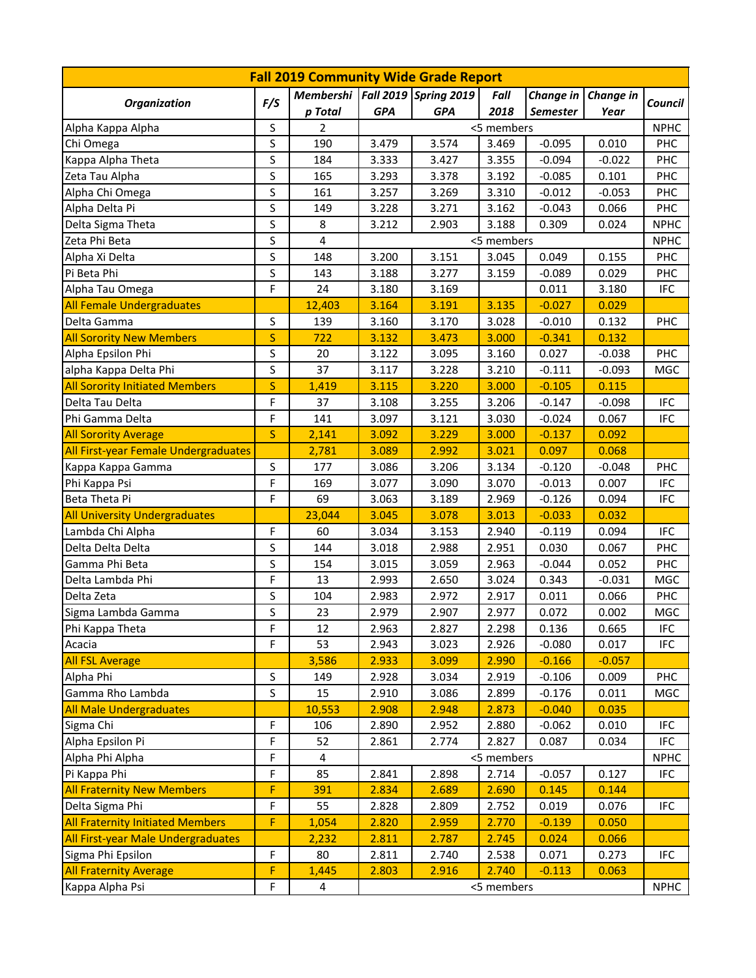| <b>Fall 2019 Community Wide Grade Report</b> |              |                                     |            |            |            |                 |           |             |  |  |
|----------------------------------------------|--------------|-------------------------------------|------------|------------|------------|-----------------|-----------|-------------|--|--|
| <b>Organization</b>                          | F/S          | Membershi   Fall 2019   Spring 2019 |            |            | Fall       | Change in       | Change in | Council     |  |  |
|                                              |              | p Total                             | <b>GPA</b> | <b>GPA</b> | 2018       | <b>Semester</b> | Year      |             |  |  |
| Alpha Kappa Alpha                            | S            | 2                                   | <5 members |            |            |                 |           |             |  |  |
| Chi Omega                                    | S            | 190                                 | 3.479      | 3.574      | 3.469      | $-0.095$        | 0.010     | <b>PHC</b>  |  |  |
| Kappa Alpha Theta                            | S            | 184                                 | 3.333      | 3.427      | 3.355      | $-0.094$        | $-0.022$  | <b>PHC</b>  |  |  |
| Zeta Tau Alpha                               | S            | 165                                 | 3.293      | 3.378      | 3.192      | $-0.085$        | 0.101     | <b>PHC</b>  |  |  |
| Alpha Chi Omega                              | S            | 161                                 | 3.257      | 3.269      | 3.310      | $-0.012$        | $-0.053$  | <b>PHC</b>  |  |  |
| Alpha Delta Pi                               | S            | 149                                 | 3.228      | 3.271      | 3.162      | $-0.043$        | 0.066     | <b>PHC</b>  |  |  |
| Delta Sigma Theta                            | S            | 8                                   | 3.212      | 2.903      | 3.188      | 0.309           | 0.024     | <b>NPHC</b> |  |  |
| Zeta Phi Beta                                | S            | $\overline{4}$                      | <5 members |            |            |                 |           | <b>NPHC</b> |  |  |
| Alpha Xi Delta                               | S            | 148                                 | 3.200      | 3.151      | 3.045      | 0.049           | 0.155     | <b>PHC</b>  |  |  |
| Pi Beta Phi                                  | S            | 143                                 | 3.188      | 3.277      | 3.159      | $-0.089$        | 0.029     | <b>PHC</b>  |  |  |
| Alpha Tau Omega                              | F            | 24                                  | 3.180      | 3.169      |            | 0.011           | 3.180     | <b>IFC</b>  |  |  |
| <b>All Female Undergraduates</b>             |              | 12,403                              | 3.164      | 3.191      | 3.135      | $-0.027$        | 0.029     |             |  |  |
| Delta Gamma                                  | S            | 139                                 | 3.160      | 3.170      | 3.028      | $-0.010$        | 0.132     | <b>PHC</b>  |  |  |
| <b>All Sorority New Members</b>              | S            | 722                                 | 3.132      | 3.473      | 3.000      | $-0.341$        | 0.132     |             |  |  |
| Alpha Epsilon Phi                            | S            | 20                                  | 3.122      | 3.095      | 3.160      | 0.027           | $-0.038$  | PHC         |  |  |
| alpha Kappa Delta Phi                        | S            | 37                                  | 3.117      | 3.228      | 3.210      | $-0.111$        | $-0.093$  | MGC         |  |  |
| <b>All Sorority Initiated Members</b>        | S            | 1,419                               | 3.115      | 3.220      | 3.000      | $-0.105$        | 0.115     |             |  |  |
| Delta Tau Delta                              | F            | 37                                  | 3.108      | 3.255      | 3.206      | $-0.147$        | $-0.098$  | <b>IFC</b>  |  |  |
| Phi Gamma Delta                              | F            | 141                                 | 3.097      | 3.121      | 3.030      | $-0.024$        | 0.067     | <b>IFC</b>  |  |  |
| <b>All Sorority Average</b>                  | $\mathsf{S}$ | 2,141                               | 3.092      | 3.229      | 3.000      | $-0.137$        | 0.092     |             |  |  |
| All First-year Female Undergraduates         |              | 2,781                               | 3.089      | 2.992      | 3.021      | 0.097           | 0.068     |             |  |  |
| Kappa Kappa Gamma                            | S            | 177                                 | 3.086      | 3.206      | 3.134      | $-0.120$        | $-0.048$  | <b>PHC</b>  |  |  |
| Phi Kappa Psi                                | F            | 169                                 | 3.077      | 3.090      | 3.070      | $-0.013$        | 0.007     | <b>IFC</b>  |  |  |
| Beta Theta Pi                                | F            | 69                                  | 3.063      | 3.189      | 2.969      | $-0.126$        | 0.094     | <b>IFC</b>  |  |  |
| <b>All University Undergraduates</b>         |              | 23,044                              | 3.045      | 3.078      | 3.013      | $-0.033$        | 0.032     |             |  |  |
| Lambda Chi Alpha                             | F            | 60                                  | 3.034      | 3.153      | 2.940      | $-0.119$        | 0.094     | <b>IFC</b>  |  |  |
| Delta Delta Delta                            | S            | 144                                 | 3.018      | 2.988      | 2.951      | 0.030           | 0.067     | PHC         |  |  |
| Gamma Phi Beta                               | S            | 154                                 | 3.015      | 3.059      | 2.963      | $-0.044$        | 0.052     | <b>PHC</b>  |  |  |
| Delta Lambda Phi                             | F            | 13                                  | 2.993      | 2.650      | 3.024      | 0.343           | $-0.031$  | MGC         |  |  |
| Delta Zeta                                   | S            | 104                                 | 2.983      | 2.972      | 2.917      | 0.011           | 0.066     | PHC         |  |  |
| Sigma Lambda Gamma                           | S            | 23                                  | 2.979      | 2.907      | 2.977      | 0.072           | 0.002     | <b>MGC</b>  |  |  |
| Phi Kappa Theta                              | F            | 12                                  | 2.963      | 2.827      | 2.298      | 0.136           | 0.665     | <b>IFC</b>  |  |  |
| Acacia                                       | F            | 53                                  | 2.943      | 3.023      | 2.926      | $-0.080$        | 0.017     | <b>IFC</b>  |  |  |
| <b>All FSL Average</b>                       |              | 3,586                               | 2.933      | 3.099      | 2.990      | $-0.166$        | $-0.057$  |             |  |  |
| Alpha Phi                                    | S            | 149                                 | 2.928      | 3.034      | 2.919      | $-0.106$        | 0.009     | <b>PHC</b>  |  |  |
| Gamma Rho Lambda                             | S            | 15                                  | 2.910      | 3.086      | 2.899      | $-0.176$        | 0.011     | MGC         |  |  |
| <b>All Male Undergraduates</b>               |              | 10,553                              | 2.908      | 2.948      | 2.873      | $-0.040$        | 0.035     |             |  |  |
| Sigma Chi                                    | F            | 106                                 | 2.890      | 2.952      | 2.880      | $-0.062$        | 0.010     | <b>IFC</b>  |  |  |
| Alpha Epsilon Pi                             | F            | 52                                  | 2.861      | 2.774      | 2.827      | 0.087           | 0.034     | <b>IFC</b>  |  |  |
| Alpha Phi Alpha                              | F            | 4                                   |            |            | <5 members |                 |           | <b>NPHC</b> |  |  |
| Pi Kappa Phi                                 | F            | 85                                  | 2.841      | 2.898      | 2.714      | $-0.057$        | 0.127     | <b>IFC</b>  |  |  |
| <b>All Fraternity New Members</b>            | F            | 391                                 | 2.834      | 2.689      | 2.690      | 0.145           | 0.144     |             |  |  |
| Delta Sigma Phi                              | F            | 55                                  | 2.828      | 2.809      | 2.752      | 0.019           | 0.076     | <b>IFC</b>  |  |  |
| <b>All Fraternity Initiated Members</b>      | F            | 1,054                               | 2.820      | 2.959      | 2.770      | $-0.139$        | 0.050     |             |  |  |
| All First-year Male Undergraduates           |              | 2,232                               | 2.811      | 2.787      | 2.745      | 0.024           | 0.066     |             |  |  |
| Sigma Phi Epsilon                            | F            | 80                                  | 2.811      | 2.740      | 2.538      | 0.071           | 0.273     | <b>IFC</b>  |  |  |
| <b>All Fraternity Average</b>                | F.           | 1,445                               | 2.803      | 2.916      | 2.740      | $-0.113$        | 0.063     |             |  |  |
| Kappa Alpha Psi                              | F            | 4                                   |            |            | <5 members |                 |           | <b>NPHC</b> |  |  |
|                                              |              |                                     |            |            |            |                 |           |             |  |  |